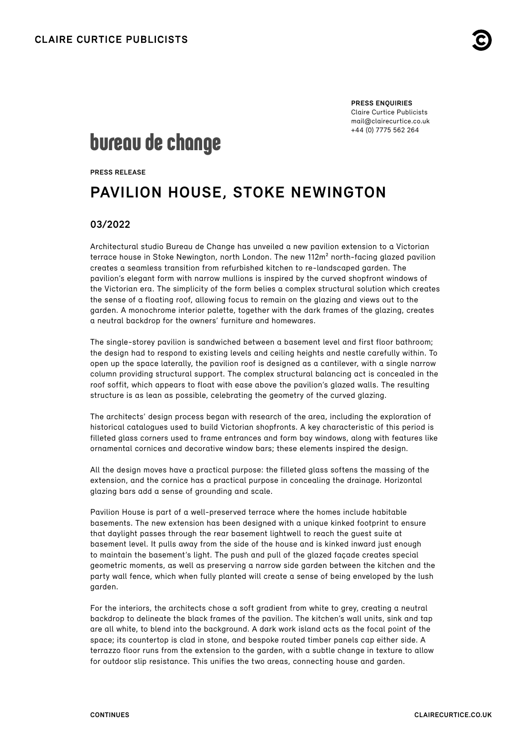

**PRESS ENQUIRIES** Claire Curtice Publicists [mail@clairecurtice.co.uk](mailto:mail@clairecurtice.co.uk?subject=Bureau de Change - Pavilion House) +44 (0) 7775 562 264

# bureau de change

**PRESS RELEASE**

# **PAVILION HOUSE, STOKE NEWINGTON**

### **03/2022**

Architectural studio Bureau de Change has unveiled a new pavilion extension to a Victorian terrace house in Stoke Newington, north London. The new 112m² north-facing glazed pavilion creates a seamless transition from refurbished kitchen to re-landscaped garden. The pavilion's elegant form with narrow mullions is inspired by the curved shopfront windows of the Victorian era. The simplicity of the form belies a complex structural solution which creates the sense of a floating roof, allowing focus to remain on the glazing and views out to the garden. A monochrome interior palette, together with the dark frames of the glazing, creates a neutral backdrop for the owners' furniture and homewares.

The single-storey pavilion is sandwiched between a basement level and first floor bathroom; the design had to respond to existing levels and ceiling heights and nestle carefully within. To open up the space laterally, the pavilion roof is designed as a cantilever, with a single narrow column providing structural support. The complex structural balancing act is concealed in the roof soffit, which appears to float with ease above the pavilion's glazed walls. The resulting structure is as lean as possible, celebrating the geometry of the curved glazing.

The architects' design process began with research of the area, including the exploration of historical catalogues used to build Victorian shopfronts. A key characteristic of this period is filleted glass corners used to frame entrances and form bay windows, along with features like ornamental cornices and decorative window bars; these elements inspired the design.

All the design moves have a practical purpose: the filleted glass softens the massing of the extension, and the cornice has a practical purpose in concealing the drainage. Horizontal glazing bars add a sense of grounding and scale.

Pavilion House is part of a well-preserved terrace where the homes include habitable basements. The new extension has been designed with a unique kinked footprint to ensure that daylight passes through the rear basement lightwell to reach the guest suite at basement level. It pulls away from the side of the house and is kinked inward just enough to maintain the basement's light. The push and pull of the glazed façade creates special geometric moments, as well as preserving a narrow side garden between the kitchen and the party wall fence, which when fully planted will create a sense of being enveloped by the lush garden.

For the interiors, the architects chose a soft gradient from white to grey, creating a neutral backdrop to delineate the black frames of the pavilion. The kitchen's wall units, sink and tap are all white, to blend into the background. A dark work island acts as the focal point of the space; its countertop is clad in stone, and bespoke routed timber panels cap either side. A terrazzo floor runs from the extension to the garden, with a subtle change in texture to allow for outdoor slip resistance. This unifies the two areas, connecting house and garden.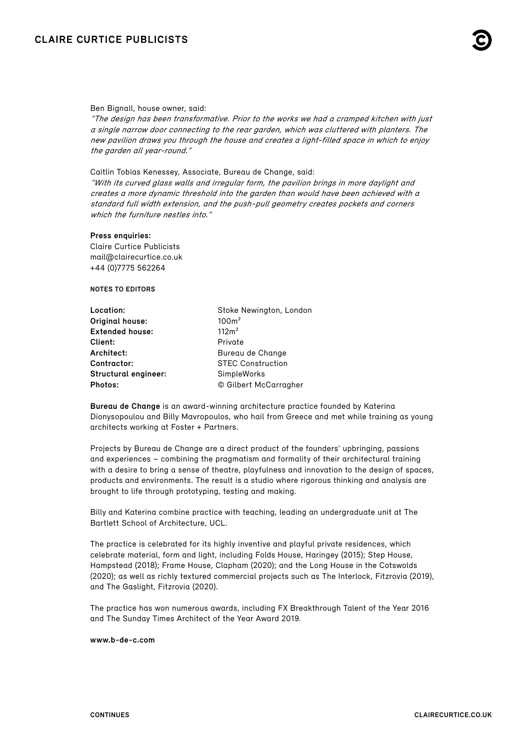## **CLAIRE CURTICE PUBLICISTS**



#### Ben Bignall, house owner, said:

"The design has been transformative. Prior to the works we had a cramped kitchen with just a single narrow door connecting to the rear garden, which was cluttered with planters. The new pavilion draws you through the house and creates a light-filled space in which to enjoy the garden all year-round."

Caitlin Tobias Kenessey, Associate, Bureau de Change, said: "With its curved glass walls and irregular form, the pavilion brings in more daylight and creates a more dynamic threshold into the garden than would have been achieved with a standard full width extension, and the push-pull geometry creates pockets and corners which the furniture nestles into."

#### **Press enquiries:**

Claire Curtice Publicists [mail@clairecurtice.co.uk](mailto:mail@clairecurtice.co.uk?subject=Bureau de Change - Pavilion House) +44 (0)7775 562264

#### **NOTES TO EDITORS**

| Location:              | Stoke Newington, London  |
|------------------------|--------------------------|
| Original house:        | 100m <sup>2</sup>        |
| <b>Extended house:</b> | 112m <sup>2</sup>        |
| Client:                | Private                  |
| Architect:             | Bureau de Change         |
| Contractor:            | <b>STEC Construction</b> |
| Structural engineer:   | SimpleWorks              |
| Photos:                | © Gilbert McCarragher    |

**Bureau de Change** is an award-winning architecture practice founded by Katerina Dionysopoulou and Billy Mavropoulos, who hail from Greece and met while training as young architects working at Foster + Partners.

Projects by Bureau de Change are a direct product of the founders' upbringing, passions and experiences – combining the pragmatism and formality of their architectural training with a desire to bring a sense of theatre, playfulness and innovation to the design of spaces, products and environments. The result is a studio where rigorous thinking and analysis are brought to life through prototyping, testing and making.

Billy and Katerina combine practice with teaching, leading an undergraduate unit at The Bartlett School of Architecture, UCL.

The practice is celebrated for its highly inventive and playful private residences, which celebrate material, form and light, including Folds House, Haringey (2015); Step House, Hampstead (2018); Frame House, Clapham (2020); and the Long House in the Cotswolds (2020); as well as richly textured commercial projects such as The Interlock, Fitzrovia (2019), and The Gaslight, Fitzrovia (2020).

The practice has won numerous awards, including FX Breakthrough Talent of the Year 2016 and The Sunday Times Architect of the Year Award 2019.

#### **[www.b-de-c.com](http://www.b-de-c.com)**